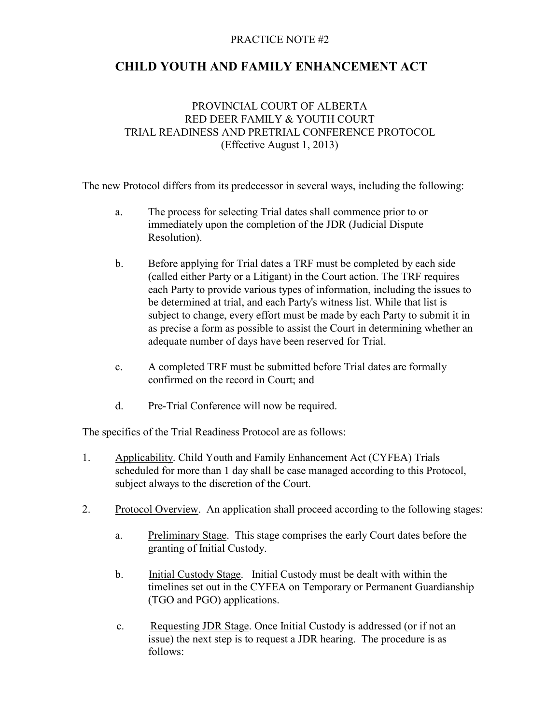## PRACTICE NOTE #2

## CHILD YOUTH AND FAMILY ENHANCEMENT ACT

## PROVINCIAL COURT OF ALBERTA RED DEER FAMILY & YOUTH COURT TRIAL READINESS AND PRETRIAL CONFERENCE PROTOCOL (Effective August 1, 2013)

The new Protocol differs from its predecessor in several ways, including the following:

- a. The process for selecting Trial dates shall commence prior to or immediately upon the completion of the JDR (Judicial Dispute Resolution).
- b. Before applying for Trial dates a TRF must be completed by each side (called either Party or a Litigant) in the Court action. The TRF requires each Party to provide various types of information, including the issues to be determined at trial, and each Party's witness list. While that list is subject to change, every effort must be made by each Party to submit it in as precise a form as possible to assist the Court in determining whether an adequate number of days have been reserved for Trial.
- c. A completed TRF must be submitted before Trial dates are formally confirmed on the record in Court; and
- d. Pre-Trial Conference will now be required.

The specifics of the Trial Readiness Protocol are as follows:

- 1. Applicability. Child Youth and Family Enhancement Act (CYFEA) Trials scheduled for more than 1 day shall be case managed according to this Protocol, subject always to the discretion of the Court.
- 2. Protocol Overview. An application shall proceed according to the following stages:
	- a. Preliminary Stage. This stage comprises the early Court dates before the granting of Initial Custody.
	- b. Initial Custody Stage. Initial Custody must be dealt with within the timelines set out in the CYFEA on Temporary or Permanent Guardianship (TGO and PGO) applications.
	- c. Requesting JDR Stage. Once Initial Custody is addressed (or if not an issue) the next step is to request a JDR hearing. The procedure is as follows: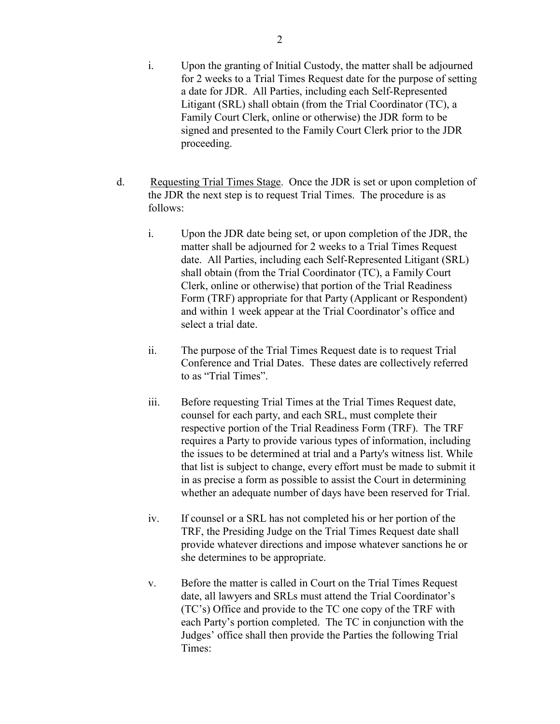- d. Requesting Trial Times Stage. Once the JDR is set or upon completion of the JDR the next step is to request Trial Times. The procedure is as follows:
	- i. Upon the JDR date being set, or upon completion of the JDR, the matter shall be adjourned for 2 weeks to a Trial Times Request date. All Parties, including each Self-Represented Litigant (SRL) shall obtain (from the Trial Coordinator (TC), a Family Court Clerk, online or otherwise) that portion of the Trial Readiness Form (TRF) appropriate for that Party (Applicant or Respondent) and within 1 week appear at the Trial Coordinator's office and select a trial date.
	- ii. The purpose of the Trial Times Request date is to request Trial Conference and Trial Dates. These dates are collectively referred to as "Trial Times".
	- iii. Before requesting Trial Times at the Trial Times Request date, counsel for each party, and each SRL, must complete their respective portion of the Trial Readiness Form (TRF). The TRF requires a Party to provide various types of information, including the issues to be determined at trial and a Party's witness list. While that list is subject to change, every effort must be made to submit it in as precise a form as possible to assist the Court in determining whether an adequate number of days have been reserved for Trial.
	- iv. If counsel or a SRL has not completed his or her portion of the TRF, the Presiding Judge on the Trial Times Request date shall provide whatever directions and impose whatever sanctions he or she determines to be appropriate.
	- v. Before the matter is called in Court on the Trial Times Request date, all lawyers and SRLs must attend the Trial Coordinator's (TC's) Office and provide to the TC one copy of the TRF with each Party's portion completed. The TC in conjunction with the Judges' office shall then provide the Parties the following Trial Times: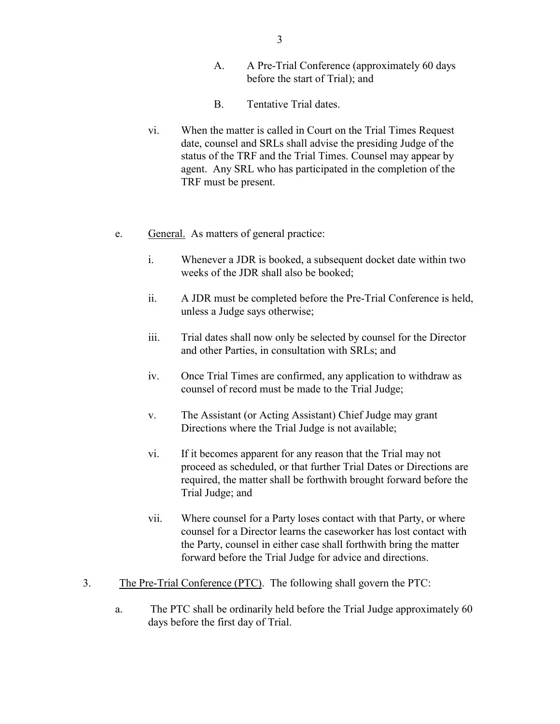- A. A Pre-Trial Conference (approximately 60 days before the start of Trial); and
- B. Tentative Trial dates.
- vi. When the matter is called in Court on the Trial Times Request date, counsel and SRLs shall advise the presiding Judge of the status of the TRF and the Trial Times. Counsel may appear by agent. Any SRL who has participated in the completion of the TRF must be present.
- e. General. As matters of general practice:
	- i. Whenever a JDR is booked, a subsequent docket date within two weeks of the JDR shall also be booked;
	- ii. A JDR must be completed before the Pre-Trial Conference is held, unless a Judge says otherwise;
	- iii. Trial dates shall now only be selected by counsel for the Director and other Parties, in consultation with SRLs; and
	- iv. Once Trial Times are confirmed, any application to withdraw as counsel of record must be made to the Trial Judge;
	- v. The Assistant (or Acting Assistant) Chief Judge may grant Directions where the Trial Judge is not available;
	- vi. If it becomes apparent for any reason that the Trial may not proceed as scheduled, or that further Trial Dates or Directions are required, the matter shall be forthwith brought forward before the Trial Judge; and
	- vii. Where counsel for a Party loses contact with that Party, or where counsel for a Director learns the caseworker has lost contact with the Party, counsel in either case shall forthwith bring the matter forward before the Trial Judge for advice and directions.
- 3. The Pre-Trial Conference (PTC). The following shall govern the PTC:
	- a. The PTC shall be ordinarily held before the Trial Judge approximately 60 days before the first day of Trial.